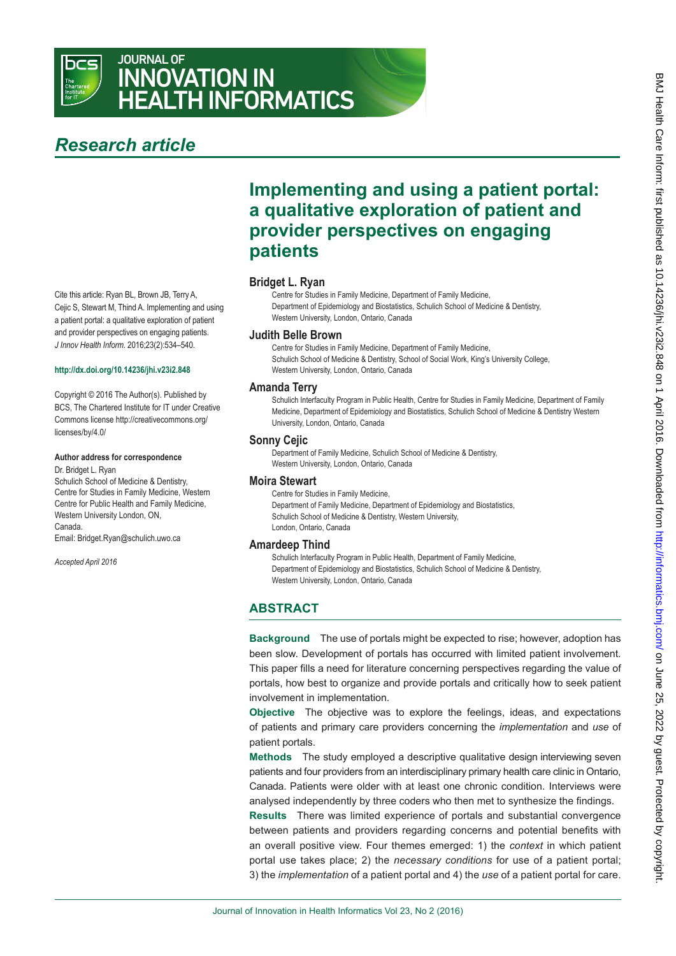

## JOURNAL OF INNOVATION IN HEALTH INFORMATICS

# *Research article*

Cite this article: Ryan BL, Brown JB, Terry A, Cejic S, Stewart M, Thind A. Implementing and using a patient portal: a qualitative exploration of patient and provider perspectives on engaging patients. *J Innov Health Inform*. 2016;23(2):534–540.

#### **<http://dx.doi.org/10.14236/jhi.v23i2.848>**

Copyright © 2016 The Author(s). Published by BCS, The Chartered Institute for IT under Creative Commons license http://creativecommons.org/ licenses/by/4.0/

#### **Author address for correspondence**

Dr. Bridget L. Ryan Schulich School of Medicine & Dentistry, Centre for Studies in Family Medicine, Western Centre for Public Health and Family Medicine, Western University London, ON, Canada. Email: Bridget.Ryan@schulich.uwo.ca

*Accepted April 2016*

## **Implementing and using a patient portal: a qualitative exploration of patient and provider perspectives on engaging patients**

#### **Bridget L. Ryan**

Centre for Studies in Family Medicine, Department of Family Medicine, Department of Epidemiology and Biostatistics, Schulich School of Medicine & Dentistry, Western University, London, Ontario, Canada

#### **Judith Belle Brown**

Centre for Studies in Family Medicine, Department of Family Medicine, Schulich School of Medicine & Dentistry, School of Social Work, King's University College, Western University, London, Ontario, Canada

#### **Amanda Terry**

Schulich Interfaculty Program in Public Health, Centre for Studies in Family Medicine, Department of Family Medicine, Department of Epidemiology and Biostatistics, Schulich School of Medicine & Dentistry Western University, London, Ontario, Canada

#### **Sonny Cejic**

Department of Family Medicine, Schulich School of Medicine & Dentistry, Western University, London, Ontario, Canada

#### **Moira Stewart**

Centre for Studies in Family Medicine, Department of Family Medicine, Department of Epidemiology and Biostatistics, Schulich School of Medicine & Dentistry, Western University, London, Ontario, Canada

#### **Amardeep Thind**

Schulich Interfaculty Program in Public Health, Department of Family Medicine, Department of Epidemiology and Biostatistics, Schulich School of Medicine & Dentistry, Western University, London, Ontario, Canada

## **ABSTRACT**

**Background** The use of portals might be expected to rise; however, adoption has been slow. Development of portals has occurred with limited patient involvement. This paper fills a need for literature concerning perspectives regarding the value of portals, how best to organize and provide portals and critically how to seek patient involvement in implementation.

**Objective** The objective was to explore the feelings, ideas, and expectations of patients and primary care providers concerning the *implementation* and *use* of patient portals.

**Methods** The study employed a descriptive qualitative design interviewing seven patients and four providers from an interdisciplinary primary health care clinic in Ontario, Canada. Patients were older with at least one chronic condition. Interviews were analysed independently by three coders who then met to synthesize the findings.

**Results** There was limited experience of portals and substantial convergence between patients and providers regarding concerns and potential benefits with an overall positive view. Four themes emerged: 1) the *context* in which patient portal use takes place; 2) the *necessary conditions* for use of a patient portal; 3) the *implementation* of a patient portal and 4) the *use* of a patient portal for care.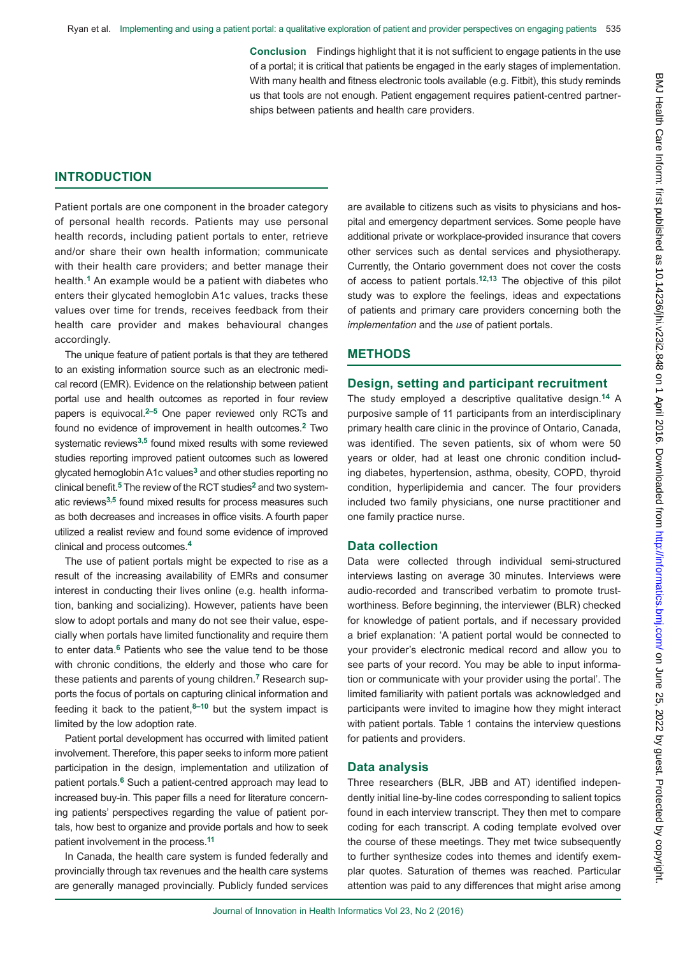**Conclusion** Findings highlight that it is not sufficient to engage patients in the use of a portal; it is critical that patients be engaged in the early stages of implementation. With many health and fitness electronic tools available (e.g. Fitbit), this study reminds us that tools are not enough. Patient engagement requires patient-centred partnerships between patients and health care providers.

## **INTRODUCTION**

Patient portals are one component in the broader category of personal health records. Patients may use personal health records, including patient portals to enter, retrieve and/or share their own health information; communicate with their health care providers; and better manage their health.**1** An example would be a patient with diabetes who enters their glycated hemoglobin A1c values, tracks these values over time for trends, receives feedback from their health care provider and makes behavioural changes accordingly.

The unique feature of patient portals is that they are tethered to an existing information source such as an electronic medical record (EMR). Evidence on the relationship between patient portal use and health outcomes as reported in four review papers is equivocal.**2–5** One paper reviewed only RCTs and found no evidence of improvement in health outcomes.**2** Two systematic reviews**3,5** found mixed results with some reviewed studies reporting improved patient outcomes such as lowered glycated hemoglobin A1c values**3** and other studies reporting no clinical benefit.**5** The review of the RCT studies**2** and two systematic reviews**3,5** found mixed results for process measures such as both decreases and increases in office visits. A fourth paper utilized a realist review and found some evidence of improved clinical and process outcomes.**<sup>4</sup>**

The use of patient portals might be expected to rise as a result of the increasing availability of EMRs and consumer interest in conducting their lives online (e.g. health information, banking and socializing). However, patients have been slow to adopt portals and many do not see their value, especially when portals have limited functionality and require them to enter data.**6** Patients who see the value tend to be those with chronic conditions, the elderly and those who care for these patients and parents of young children.**7** Research supports the focus of portals on capturing clinical information and feeding it back to the patient,**8–10** but the system impact is limited by the low adoption rate.

Patient portal development has occurred with limited patient involvement. Therefore, this paper seeks to inform more patient participation in the design, implementation and utilization of patient portals.**6** Such a patient-centred approach may lead to increased buy-in. This paper fills a need for literature concerning patients' perspectives regarding the value of patient portals, how best to organize and provide portals and how to seek patient involvement in the process.**<sup>11</sup>**

In Canada, the health care system is funded federally and provincially through tax revenues and the health care systems are generally managed provincially. Publicly funded services

are available to citizens such as visits to physicians and hospital and emergency department services. Some people have additional private or workplace-provided insurance that covers other services such as dental services and physiotherapy. Currently, the Ontario government does not cover the costs of access to patient portals.**12,13** The objective of this pilot study was to explore the feelings, ideas and expectations of patients and primary care providers concerning both the *implementation* and the *use* of patient portals.

## **METHODS**

#### **Design, setting and participant recruitment**

The study employed a descriptive qualitative design.**14** A purposive sample of 11 participants from an interdisciplinary primary health care clinic in the province of Ontario, Canada, was identified. The seven patients, six of whom were 50 years or older, had at least one chronic condition including diabetes, hypertension, asthma, obesity, COPD, thyroid condition, hyperlipidemia and cancer. The four providers included two family physicians, one nurse practitioner and one family practice nurse.

### **Data collection**

Data were collected through individual semi-structured interviews lasting on average 30 minutes. Interviews were audio-recorded and transcribed verbatim to promote trustworthiness. Before beginning, the interviewer (BLR) checked for knowledge of patient portals, and if necessary provided a brief explanation: 'A patient portal would be connected to your provider's electronic medical record and allow you to see parts of your record. You may be able to input information or communicate with your provider using the portal'. The limited familiarity with patient portals was acknowledged and participants were invited to imagine how they might interact with patient portals. Table 1 contains the interview questions for patients and providers.

#### **Data analysis**

Three researchers (BLR, JBB and AT) identified independently initial line-by-line codes corresponding to salient topics found in each interview transcript. They then met to compare coding for each transcript. A coding template evolved over the course of these meetings. They met twice subsequently to further synthesize codes into themes and identify exemplar quotes. Saturation of themes was reached. Particular attention was paid to any differences that might arise among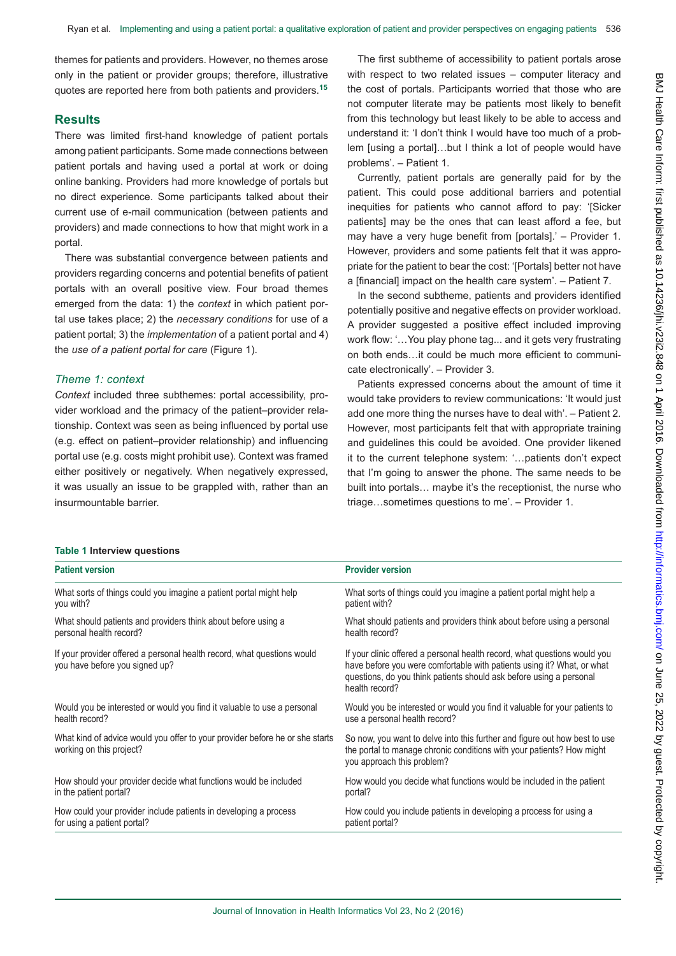themes for patients and providers. However, no themes arose only in the patient or provider groups; therefore, illustrative quotes are reported here from both patients and providers.**<sup>15</sup>**

#### **Results**

There was limited first-hand knowledge of patient portals among patient participants. Some made connections between patient portals and having used a portal at work or doing online banking. Providers had more knowledge of portals but no direct experience. Some participants talked about their current use of e-mail communication (between patients and providers) and made connections to how that might work in a portal.

There was substantial convergence between patients and providers regarding concerns and potential benefits of patient portals with an overall positive view. Four broad themes emerged from the data: 1) the *context* in which patient portal use takes place; 2) the *necessary conditions* for use of a patient portal; 3) the *implementation* of a patient portal and 4) the *use of a patient portal for care* (Figure 1).

## *Theme 1: context*

*Context* included three subthemes: portal accessibility, provider workload and the primacy of the patient–provider relationship. Context was seen as being influenced by portal use (e.g. effect on patient–provider relationship) and influencing portal use (e.g. costs might prohibit use). Context was framed either positively or negatively. When negatively expressed, it was usually an issue to be grappled with, rather than an insurmountable barrier.

The first subtheme of accessibility to patient portals arose with respect to two related issues – computer literacy and the cost of portals. Participants worried that those who are not computer literate may be patients most likely to benefit from this technology but least likely to be able to access and understand it: 'I don't think I would have too much of a problem [using a portal]…but I think a lot of people would have problems'. – Patient 1.

Currently, patient portals are generally paid for by the patient. This could pose additional barriers and potential inequities for patients who cannot afford to pay: 'ISicker patients] may be the ones that can least afford a fee, but may have a very huge benefit from [portals].' – Provider 1*.*  However, providers and some patients felt that it was appropriate for the patient to bear the cost: '[Portals] better not have a [financial] impact on the health care system'. *–* Patient 7.

In the second subtheme, patients and providers identified potentially positive and negative effects on provider workload. A provider suggested a positive effect included improving work flow: '…You play phone tag... and it gets very frustrating on both ends…it could be much more efficient to communicate electronically'. – Provider 3*.*

Patients expressed concerns about the amount of time it would take providers to review communications: 'It would just add one more thing the nurses have to deal with'. – Patient 2*.*  However, most participants felt that with appropriate training and guidelines this could be avoided. One provider likened it to the current telephone system: '…patients don't expect that I'm going to answer the phone. The same needs to be built into portals… maybe it's the receptionist, the nurse who triage…sometimes questions to me'. – Provider 1.

#### **Table 1 Interview questions**

| <b>Patient version</b>                                                                                    | <b>Provider version</b>                                                                                                                                                                                                                      |
|-----------------------------------------------------------------------------------------------------------|----------------------------------------------------------------------------------------------------------------------------------------------------------------------------------------------------------------------------------------------|
| What sorts of things could you imagine a patient portal might help                                        | What sorts of things could you imagine a patient portal might help a                                                                                                                                                                         |
| you with?                                                                                                 | patient with?                                                                                                                                                                                                                                |
| What should patients and providers think about before using a                                             | What should patients and providers think about before using a personal                                                                                                                                                                       |
| personal health record?                                                                                   | health record?                                                                                                                                                                                                                               |
| If your provider offered a personal health record, what questions would<br>you have before you signed up? | If your clinic offered a personal health record, what questions would you<br>have before you were comfortable with patients using it? What, or what<br>questions, do you think patients should ask before using a personal<br>health record? |
| Would you be interested or would you find it valuable to use a personal                                   | Would you be interested or would you find it valuable for your patients to                                                                                                                                                                   |
| health record?                                                                                            | use a personal health record?                                                                                                                                                                                                                |
| What kind of advice would you offer to your provider before he or she starts<br>working on this project?  | So now, you want to delve into this further and figure out how best to use<br>the portal to manage chronic conditions with your patients? How might<br>you approach this problem?                                                            |
| How should your provider decide what functions would be included                                          | How would you decide what functions would be included in the patient                                                                                                                                                                         |
| in the patient portal?                                                                                    | portal?                                                                                                                                                                                                                                      |
| How could your provider include patients in developing a process                                          | How could you include patients in developing a process for using a                                                                                                                                                                           |
| for using a patient portal?                                                                               | patient portal?                                                                                                                                                                                                                              |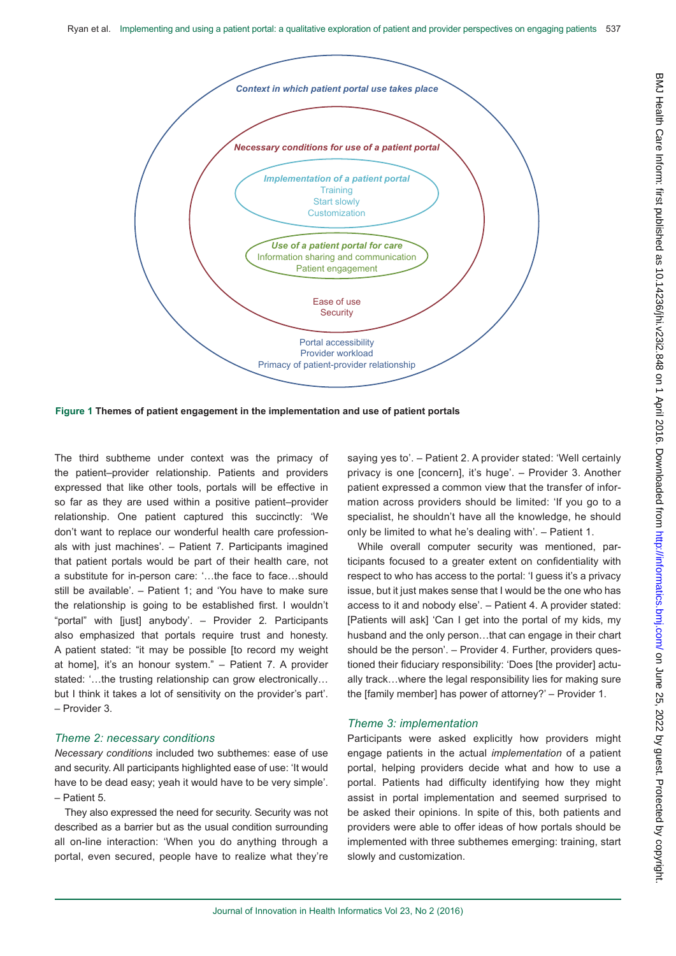

**Figure 1 Themes of patient engagement in the implementation and use of patient portals**

The third subtheme under context was the primacy of the patient–provider relationship. Patients and providers expressed that like other tools, portals will be effective in so far as they are used within a positive patient–provider relationship. One patient captured this succinctly: 'We don't want to replace our wonderful health care professionals with just machines'. – Patient 7*.* Participants imagined that patient portals would be part of their health care, not a substitute for in-person care: '…the face to face…should still be available'. – Patient 1; and 'You have to make sure the relationship is going to be established first. I wouldn't "portal" with [just] anybody'. – Provider 2*.* Participants also emphasized that portals require trust and honesty. A patient stated: "it may be possible [to record my weight at home], it's an honour system." – Patient 7. A provider stated: '...the trusting relationship can grow electronically... but I think it takes a lot of sensitivity on the provider's part'. – Provider 3.

#### *Theme 2: necessary conditions*

*Necessary conditions* included two subthemes: ease of use and security. All participants highlighted ease of use: 'It would have to be dead easy; yeah it would have to be very simple'. – Patient 5.

They also expressed the need for security. Security was not described as a barrier but as the usual condition surrounding all on-line interaction: 'When you do anything through a portal, even secured, people have to realize what they're saying yes to'. – Patient 2. A provider stated: 'Well certainly privacy is one [concern], it's huge'. – Provider 3. Another patient expressed a common view that the transfer of information across providers should be limited: 'If you go to a specialist, he shouldn't have all the knowledge, he should only be limited to what he's dealing with'. – Patient 1.

While overall computer security was mentioned, participants focused to a greater extent on confidentiality with respect to who has access to the portal: 'I guess it's a privacy issue, but it just makes sense that I would be the one who has access to it and nobody else'. *–* Patient 4. A provider stated: [Patients will ask] 'Can I get into the portal of my kids, my husband and the only person…that can engage in their chart should be the person'. - Provider 4. Further, providers questioned their fiduciary responsibility: 'Does [the provider] actually track…where the legal responsibility lies for making sure the [family member] has power of attorney?' – Provider 1.

#### *Theme 3: implementation*

Participants were asked explicitly how providers might engage patients in the actual *implementation* of a patient portal, helping providers decide what and how to use a portal. Patients had difficulty identifying how they might assist in portal implementation and seemed surprised to be asked their opinions. In spite of this, both patients and providers were able to offer ideas of how portals should be implemented with three subthemes emerging: training, start slowly and customization.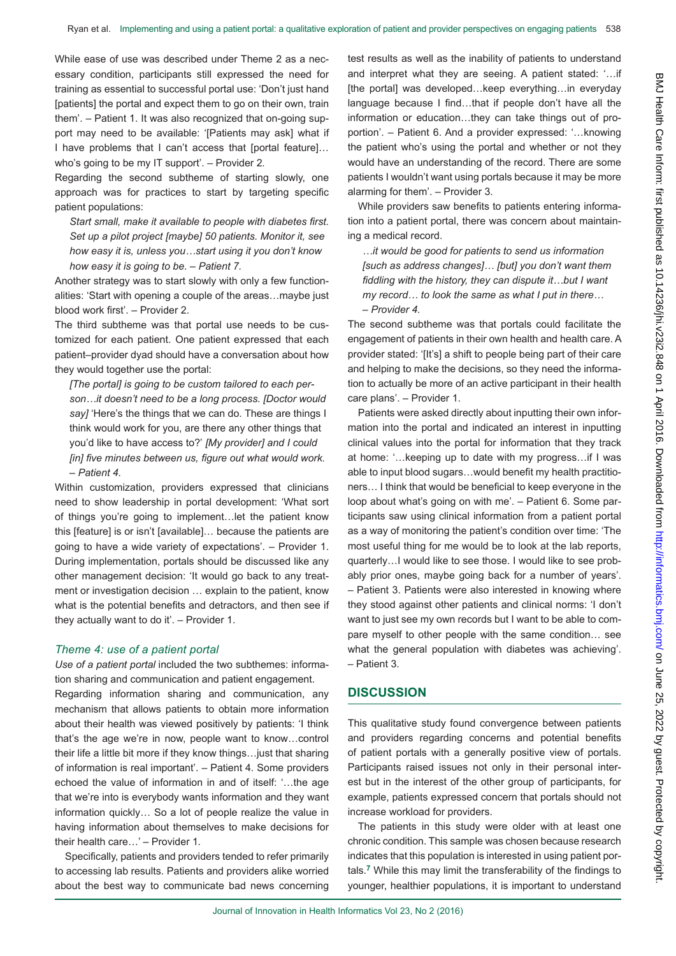While ease of use was described under Theme 2 as a necessary condition, participants still expressed the need for training as essential to successful portal use: 'Don't just hand [patients] the portal and expect them to go on their own, train them'. – Patient 1. It was also recognized that on-going support may need to be available: '[Patients may ask] what if I have problems that I can't access that [portal feature]… who's going to be my IT support'. – Provider 2*.*

Regarding the second subtheme of starting slowly, one approach was for practices to start by targeting specific patient populations:

*Start small, make it available to people with diabetes first. Set up a pilot project [maybe] 50 patients. Monitor it, see how easy it is, unless you…start using it you don't know how easy it is going to be. – Patient 7.* 

Another strategy was to start slowly with only a few functionalities: 'Start with opening a couple of the areas…maybe just blood work first'. – Provider 2.

The third subtheme was that portal use needs to be customized for each patient. One patient expressed that each patient–provider dyad should have a conversation about how they would together use the portal:

*[The portal] is going to be custom tailored to each person…it doesn't need to be a long process. [Doctor would say]* 'Here's the things that we can do. These are things I think would work for you, are there any other things that you'd like to have access to?' *[My provider] and I could [in] five minutes between us, figure out what would work. – Patient 4.* 

Within customization, providers expressed that clinicians need to show leadership in portal development: 'What sort of things you're going to implement…let the patient know this [feature] is or isn't [available]… because the patients are going to have a wide variety of expectations'. – Provider 1. During implementation, portals should be discussed like any other management decision: 'It would go back to any treatment or investigation decision … explain to the patient, know what is the potential benefits and detractors, and then see if they actually want to do it'. – Provider 1.

#### *Theme 4: use of a patient portal*

*Use of a patient portal* included the two subthemes: information sharing and communication and patient engagement.

Regarding information sharing and communication, any mechanism that allows patients to obtain more information about their health was viewed positively by patients: 'I think that's the age we're in now, people want to know…control their life a little bit more if they know things…just that sharing of information is real important'. – Patient 4*.* Some providers echoed the value of information in and of itself: '…the age that we're into is everybody wants information and they want information quickly… So a lot of people realize the value in having information about themselves to make decisions for their health care…' – Provider 1*.* 

Specifically, patients and providers tended to refer primarily to accessing lab results. Patients and providers alike worried about the best way to communicate bad news concerning

test results as well as the inability of patients to understand and interpret what they are seeing. A patient stated: '…if [the portal] was developed…keep everything…in everyday language because I find…that if people don't have all the information or education…they can take things out of proportion'. – Patient 6. And a provider expressed: '…knowing the patient who's using the portal and whether or not they would have an understanding of the record. There are some patients I wouldn't want using portals because it may be more alarming for them'. – Provider 3.

While providers saw benefits to patients entering information into a patient portal, there was concern about maintaining a medical record.

*…it would be good for patients to send us information [such as address changes]… [but] you don't want them fiddling with the history, they can dispute it…but I want my record… to look the same as what I put in there… – Provider 4.*

The second subtheme was that portals could facilitate the engagement of patients in their own health and health care. A provider stated: '[It's] a shift to people being part of their care and helping to make the decisions, so they need the information to actually be more of an active participant in their health care plans'. – Provider 1.

Patients were asked directly about inputting their own information into the portal and indicated an interest in inputting clinical values into the portal for information that they track at home: '…keeping up to date with my progress…if I was able to input blood sugars…would benefit my health practitioners… I think that would be beneficial to keep everyone in the loop about what's going on with me'. – Patient 6. Some participants saw using clinical information from a patient portal as a way of monitoring the patient's condition over time: 'The most useful thing for me would be to look at the lab reports, quarterly…I would like to see those. I would like to see probably prior ones, maybe going back for a number of years'. – Patient 3. Patients were also interested in knowing where they stood against other patients and clinical norms: 'I don't want to just see my own records but I want to be able to compare myself to other people with the same condition… see what the general population with diabetes was achieving'. – Patient 3.

## **DISCUSSION**

This qualitative study found convergence between patients and providers regarding concerns and potential benefits of patient portals with a generally positive view of portals. Participants raised issues not only in their personal interest but in the interest of the other group of participants, for example, patients expressed concern that portals should not increase workload for providers.

The patients in this study were older with at least one chronic condition. This sample was chosen because research indicates that this population is interested in using patient portals.**7** While this may limit the transferability of the findings to younger, healthier populations, it is important to understand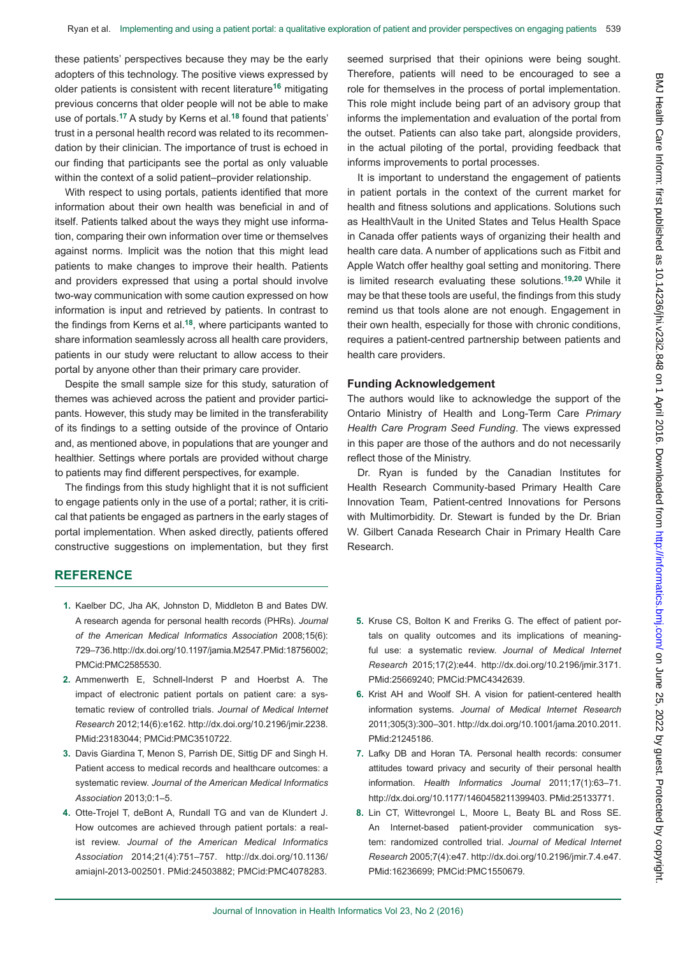these patients' perspectives because they may be the early adopters of this technology. The positive views expressed by older patients is consistent with recent literature**16** mitigating previous concerns that older people will not be able to make use of portals.**17** A study by Kerns et al.**18** found that patients' trust in a personal health record was related to its recommendation by their clinician. The importance of trust is echoed in our finding that participants see the portal as only valuable within the context of a solid patient–provider relationship.

With respect to using portals, patients identified that more information about their own health was beneficial in and of itself. Patients talked about the ways they might use information, comparing their own information over time or themselves against norms. Implicit was the notion that this might lead patients to make changes to improve their health. Patients and providers expressed that using a portal should involve two-way communication with some caution expressed on how information is input and retrieved by patients. In contrast to the findings from Kerns et al.**18**, where participants wanted to share information seamlessly across all health care providers, patients in our study were reluctant to allow access to their portal by anyone other than their primary care provider.

Despite the small sample size for this study, saturation of themes was achieved across the patient and provider participants. However, this study may be limited in the transferability of its findings to a setting outside of the province of Ontario and, as mentioned above, in populations that are younger and healthier. Settings where portals are provided without charge to patients may find different perspectives, for example.

The findings from this study highlight that it is not sufficient to engage patients only in the use of a portal; rather, it is critical that patients be engaged as partners in the early stages of portal implementation. When asked directly, patients offered constructive suggestions on implementation, but they first seemed surprised that their opinions were being sought. Therefore, patients will need to be encouraged to see a role for themselves in the process of portal implementation. This role might include being part of an advisory group that informs the implementation and evaluation of the portal from the outset. Patients can also take part, alongside providers, in the actual piloting of the portal, providing feedback that informs improvements to portal processes.

It is important to understand the engagement of patients in patient portals in the context of the current market for health and fitness solutions and applications. Solutions such as HealthVault in the United States and Telus Health Space in Canada offer patients ways of organizing their health and health care data. A number of applications such as Fitbit and Apple Watch offer healthy goal setting and monitoring. There is limited research evaluating these solutions.**19,20** While it may be that these tools are useful, the findings from this study remind us that tools alone are not enough. Engagement in their own health, especially for those with chronic conditions, requires a patient-centred partnership between patients and health care providers.

#### **Funding Acknowledgement**

The authors would like to acknowledge the support of the Ontario Ministry of Health and Long-Term Care *Primary Health Care Program Seed Funding*. The views expressed in this paper are those of the authors and do not necessarily reflect those of the Ministry.

Dr. Ryan is funded by the Canadian Institutes for Health Research Community-based Primary Health Care Innovation Team, Patient-centred Innovations for Persons with Multimorbidity. Dr. Stewart is funded by the Dr. Brian W. Gilbert Canada Research Chair in Primary Health Care Research.

### **REFERENCE**

- **1.** Kaelber DC, Jha AK, Johnston D, Middleton B and Bates DW. A research agenda for personal health records (PHRs). *Journal of the American Medical Informatics Association* 2008;15(6): 729–736[. http://dx.doi.org/10.1197/jamia.M2547.](http://dx.doi.org/10.1197/jamia.M2547) PMid:18756002; PMCid:PMC2585530.
- **2.** Ammenwerth E, Schnell-Inderst P and Hoerbst A. The impact of electronic patient portals on patient care: a systematic review of controlled trials. *Journal of Medical Internet Research* 2012;14(6):e162. [http://dx.doi.org/10.2196/jmir.2238.](http://dx.doi.org/10.2196/jmir.2238) PMid:23183044; PMCid:PMC3510722.
- **3.** Davis Giardina T, Menon S, Parrish DE, Sittig DF and Singh H. Patient access to medical records and healthcare outcomes: a systematic review. *Journal of the American Medical Informatics Association* 2013;0:1–5.
- **4.** Otte-Trojel T, deBont A, Rundall TG and van de Klundert J. How outcomes are achieved through patient portals: a realist review. *Journal of the American Medical Informatics Association* 2014;21(4):751–757. [http://dx.doi.org/10.1136/](http://dx.doi.org/10.1136/amiajnl-2013-002501) [amiajnl-2013-002501](http://dx.doi.org/10.1136/amiajnl-2013-002501). PMid:24503882; PMCid:PMC4078283.
- **5.** Kruse CS, Bolton K and Freriks G. The effect of patient portals on quality outcomes and its implications of meaningful use: a systematic review. *Journal of Medical Internet Research* 2015;17(2):e44. <http://dx.doi.org/10.2196/jmir.3171>. PMid:25669240; PMCid:PMC4342639.
- **6.** Krist AH and Woolf SH. A vision for patient-centered health information systems. *Journal of Medical Internet Research* 2011;305(3):300–301.<http://dx.doi.org/10.1001/jama.2010.2011>. PMid:21245186.
- **7.** Lafky DB and Horan TA. Personal health records: consumer attitudes toward privacy and security of their personal health information. *Health Informatics Journal* 2011;17(1):63–71. [http://dx.doi.org/10.1177/1460458211399403.](http://dx.doi.org/10.1177/1460458211399403) PMid:25133771.
- **8.** Lin CT, Wittevrongel L, Moore L, Beaty BL and Ross SE. An Internet-based patient-provider communication system: randomized controlled trial. *Journal of Medical Internet Research* 2005;7(4):e47.<http://dx.doi.org/10.2196/jmir.7.4.e47>. PMid:16236699; PMCid:PMC1550679.